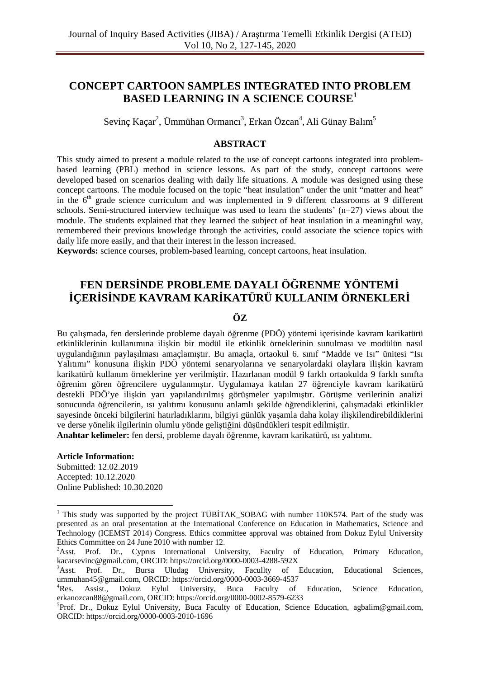# **CONCEPT CARTOON SAMPLES INTEGRATED INTO PROBLEM BASED LEARNING IN A SCIENCE COURSE<sup>1</sup>**

Sevinç Kaçar<sup>2</sup>, Ümmühan Ormancı<sup>3</sup>, Erkan Özcan<sup>4</sup>, Ali Günay Balım<sup>5</sup>

# **ABSTRACT**

This study aimed to present a module related to the use of concept cartoons integrated into problembased learning (PBL) method in science lessons. As part of the study, concept cartoons were developed based on scenarios dealing with daily life situations. A module was designed using these concept cartoons. The module focused on the topic "heat insulation" under the unit "matter and heat" in the  $6<sup>th</sup>$  grade science curriculum and was implemented in 9 different classrooms at 9 different schools. Semi-structured interview technique was used to learn the students'  $(n=27)$  views about the module. The students explained that they learned the subject of heat insulation in a meaningful way, remembered their previous knowledge through the activities, could associate the science topics with daily life more easily, and that their interest in the lesson increased.

**Keywords:** science courses, problem-based learning, concept cartoons, heat insulation.

# **FEN DERSİNDE PROBLEME DAYALI ÖĞRENME YÖNTEMİ İÇERİSİNDE KAVRAM KARİKATÜRÜ KULLANIM ÖRNEKLERİ**

# **ÖZ**

Bu çalışmada, fen derslerinde probleme dayalı öğrenme (PDÖ) yöntemi içerisinde kavram karikatürü etkinliklerinin kullanımına ilişkin bir modül ile etkinlik örneklerinin sunulması ve modülün nasıl uygulandığının paylaşılması amaçlamıştır. Bu amaçla, ortaokul 6. sınıf "Madde ve Isı" ünitesi "Isı Yalıtımı" konusuna ilişkin PDÖ yöntemi senaryolarına ve senaryolardaki olaylara ilişkin kavram karikatürü kullanım örneklerine yer verilmiştir. Hazırlanan modül 9 farklı ortaokulda 9 farklı sınıfta öğrenim gören öğrencilere uygulanmıştır. Uygulamaya katılan 27 öğrenciyle kavram karikatürü destekli PDÖ'ye ilişkin yarı yapılandırılmış görüşmeler yapılmıştır. Görüşme verilerinin analizi sonucunda öğrencilerin, ısı yalıtımı konusunu anlamlı şekilde öğrendiklerini, çalışmadaki etkinlikler sayesinde önceki bilgilerini hatırladıklarını, bilgiyi günlük yaşamla daha kolay ilişkilendirebildiklerini ve derse yönelik ilgilerinin olumlu yönde geliştiğini düşündükleri tespit edilmiştir.

**Anahtar kelimeler:** fen dersi, probleme dayalı öğrenme, kavram karikatürü, ısı yalıtımı.

#### **Article Information:**

Submitted: 12.02.2019 Accepted: 10.12.2020 Online Published: 10.30.2020

<sup>&</sup>lt;sup>1</sup> This study was supported by the project TÜBİTAK\_SOBAG with number 110K574. Part of the study was presented as an oral presentation at the International Conference on Education in Mathematics, Science and Technology (ICEMST 2014) Congress. Ethics committee approval was obtained from Dokuz Eylul University Ethics Committee on 24 June 2010 with number 12.

<sup>&</sup>lt;sup>2</sup>Asst. Prof. Dr., Cyprus International University, Faculty of Education, Primary Education, kacarsevinc@gmail.com, ORCID: https://orcid.org/0000-0003-4288-592X<br><sup>3</sup>Asst. Prof. Dr., Bursa Uludag University, Facullty of

Prof. Dr., Bursa Uludag University, Facullty of Education, Educational Sciences, ummuhan45@gmail.com, ORCID: https://orcid.org/0000-0003-3669-4537

 ${}^4$ Res. Res. Assist., Dokuz Eylul University, Buca Faculty of Education, Science Education, erkanozcan88@gmail.com, ORCID: https://orcid.org/0000-0002-8579-6233

<sup>&</sup>lt;sup>5</sup>Prof. Dr., Dokuz Eylul University, Buca Faculty of Education, Science Education, agbalim@gmail.com, ORCID: https://orcid.org/0000-0003-2010-1696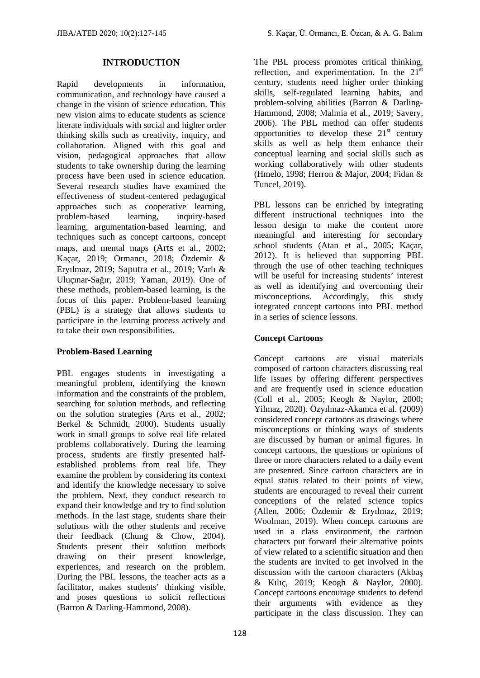### **INTRODUCTION**

Rapid developments in information, communication, and technology have caused a change in the vision of science education. This new vision aims to educate students as science literate individuals with social and higher order thinking skills such as creativity, inquiry, and collaboration. Aligned with this goal and vision, pedagogical approaches that allow students to take ownership during the learning process have been used in science education. Several research studies have examined the effectiveness of student-centered pedagogical approaches such as cooperative learning, problem-based learning, inquiry-based learning, argumentation-based learning, and techniques such as concept cartoons, concept maps, and mental maps (Arts et al., 2002; Kaçar, 2019; Ormancı, 2018; Özdemir & Eryılmaz, 2019; Saputra et al., 2019; Varlı & Uluçınar-Sağır, 2019; Yaman, 2019). One of these methods, problem-based learning, is the focus of this paper. Problem-based learning (PBL) is a strategy that allows students to participate in the learning process actively and to take their own responsibilities.

#### **Problem-Based Learning**

PBL engages students in investigating a meaningful problem, identifying the known information and the constraints of the problem, searching for solution methods, and reflecting on the solution strategies (Arts et al., 2002; Berkel & Schmidt, 2000). Students usually work in small groups to solve real life related problems collaboratively. During the learning process, students are firstly presented halfestablished problems from real life. They examine the problem by considering its context and identify the knowledge necessary to solve the problem. Next, they conduct research to expand their knowledge and try to find solution methods. In the last stage, students share their solutions with the other students and receive their feedback (Chung & Chow, 2004). Students present their solution methods drawing on their present knowledge, experiences, and research on the problem. During the PBL lessons, the teacher acts as a facilitator, makes students' thinking visible, and poses questions to solicit reflections (Barron & Darling-Hammond, 2008).

The PBL process promotes critical thinking, reflection, and experimentation. In the  $21<sup>s</sup>$ century, students need higher order thinking skills, self-regulated learning habits, and problem-solving abilities (Barron & Darling-Hammond, 2008; Malmia et al., 2019; Savery, 2006). The PBL method can offer students opportunities to develop these  $21<sup>st</sup>$  century skills as well as help them enhance their conceptual learning and social skills such as working collaboratively with other students (Hmelo, 1998; Herron & Major, 2004; Fidan & Tuncel, 2019).

PBL lessons can be enriched by integrating different instructional techniques into the lesson design to make the content more meaningful and interesting for secondary school students (Atan et al., 2005; Kaçar, 2012). It is believed that supporting PBL through the use of other teaching techniques will be useful for increasing students' interest as well as identifying and overcoming their misconceptions. Accordingly, this study integrated concept cartoons into PBL method in a series of science lessons.

# **Concept Cartoons**

Concept cartoons are visual materials composed of cartoon characters discussing real life issues by offering different perspectives and are frequently used in science education (Coll et al., 2005; Keogh & Naylor, 2000; Yilmaz, 2020). Özyılmaz-Akamca et al. (2009) considered concept cartoons as drawings where misconceptions or thinking ways of students are discussed by human or animal figures. In concept cartoons, the questions or opinions of three or more characters related to a daily event are presented. Since cartoon characters are in equal status related to their points of view, students are encouraged to reveal their current conceptions of the related science topics (Allen, 2006; Özdemir & Eryılmaz, 2019; Woolman, 2019). When concept cartoons are used in a class environment, the cartoon characters put forward their alternative points of view related to a scientific situation and then the students are invited to get involved in the discussion with the cartoon characters (Akbaş & Kılıç, 2019; Keogh & Naylor, 2000). Concept cartoons encourage students to defend their arguments with evidence as they participate in the class discussion. They can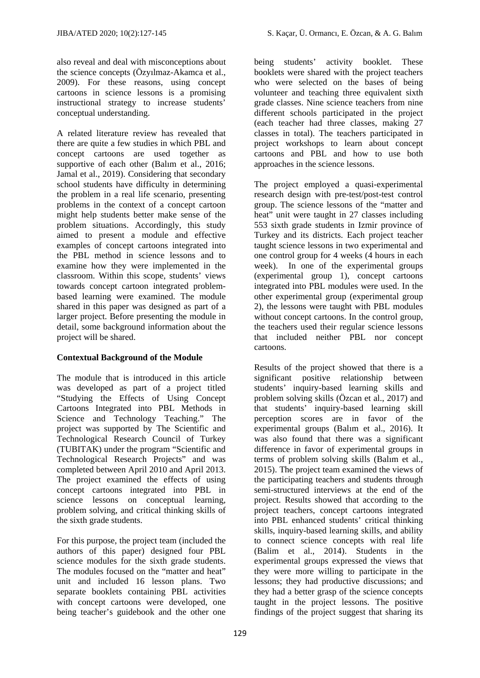also reveal and deal with misconceptions about the science concepts (Özyılmaz-Akamca et al., 2009). For these reasons, using concept cartoons in science lessons is a promising instructional strategy to increase students' conceptual understanding.

A related literature review has revealed that there are quite a few studies in which PBL and concept cartoons are used together as supportive of each other (Balim et al., 2016; Jamal et al., 2019). Considering that secondary school students have difficulty in determining the problem in a real life scenario, presenting problems in the context of a concept cartoon might help students better make sense of the problem situations. Accordingly, this study aimed to present a module and effective examples of concept cartoons integrated into the PBL method in science lessons and to examine how they were implemented in the classroom. Within this scope, students' views towards concept cartoon integrated problembased learning were examined. The module shared in this paper was designed as part of a larger project. Before presenting the module in detail, some background information about the project will be shared.

# **Contextual Background of the Module**

The module that is introduced in this article was developed as part of a project titled "Studying the Effects of Using Concept Cartoons Integrated into PBL Methods in Science and Technology Teaching." The project was supported by The Scientific and Technological Research Council of Turkey (TUBITAK) under the program "Scientific and Technological Research Projects" and was completed between April 2010 and April 2013. The project examined the effects of using concept cartoons integrated into PBL in science lessons on conceptual learning, problem solving, and critical thinking skills of the sixth grade students.

For this purpose, the project team (included the authors of this paper) designed four PBL science modules for the sixth grade students. The modules focused on the "matter and heat" unit and included 16 lesson plans. Two separate booklets containing PBL activities with concept cartoons were developed, one being teacher's guidebook and the other one being students' activity booklet. These booklets were shared with the project teachers who were selected on the bases of being volunteer and teaching three equivalent sixth grade classes. Nine science teachers from nine different schools participated in the project (each teacher had three classes, making 27 classes in total). The teachers participated in project workshops to learn about concept cartoons and PBL and how to use both approaches in the science lessons.

The project employed a quasi-experimental research design with pre-test/post-test control group. The science lessons of the "matter and heat" unit were taught in 27 classes including 553 sixth grade students in Izmir province of Turkey and its districts. Each project teacher taught science lessons in two experimental and one control group for 4 weeks (4 hours in each week). In one of the experimental groups (experimental group 1), concept cartoons integrated into PBL modules were used. In the other experimental group (experimental group 2), the lessons were taught with PBL modules without concept cartoons. In the control group, the teachers used their regular science lessons that included neither PBL nor concept cartoons.

Results of the project showed that there is a significant positive relationship between students' inquiry-based learning skills and problem solving skills (Özcan et al., 2017) and that students' inquiry-based learning skill perception scores are in favor of the experimental groups (Balım et al., 2016). It was also found that there was a significant difference in favor of experimental groups in terms of problem solving skills (Balım et al., 2015). The project team examined the views of the participating teachers and students through semi-structured interviews at the end of the project. Results showed that according to the project teachers, concept cartoons integrated into PBL enhanced students' critical thinking skills, inquiry-based learning skills, and ability to connect science concepts with real life (Balim et al., 2014). Students in the experimental groups expressed the views that they were more willing to participate in the lessons; they had productive discussions; and they had a better grasp of the science concepts taught in the project lessons. The positive findings of the project suggest that sharing its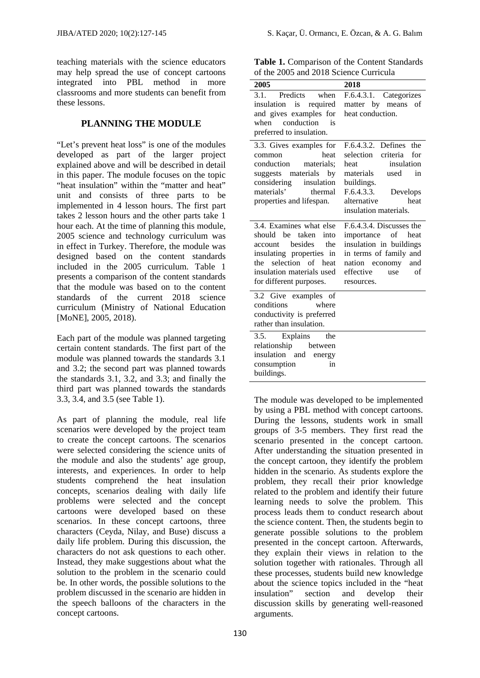teaching materials with the science educators may help spread the use of concept cartoons integrated into PBL method in more classrooms and more students can benefit from these lessons.

# **PLANNING THE MODULE**

"Let's prevent heat loss" is one of the modules developed as part of the larger project explained above and will be described in detail in this paper. The module focuses on the topic "heat insulation" within the "matter and heat" unit and consists of three parts to be implemented in 4 lesson hours. The first part takes 2 lesson hours and the other parts take 1 hour each. At the time of planning this module, 2005 science and technology curriculum was in effect in Turkey. Therefore, the module was designed based on the content standards included in the 2005 curriculum. Table 1 presents a comparison of the content standards that the module was based on to the content standards of the current 2018 science curriculum (Ministry of National Education [MoNE], 2005, 2018).

Each part of the module was planned targeting certain content standards. The first part of the module was planned towards the standards 3.1 and 3.2; the second part was planned towards the standards 3.1, 3.2, and 3.3; and finally the third part was planned towards the standards 3.3, 3.4, and 3.5 (see Table 1).

As part of planning the module, real life scenarios were developed by the project team to create the concept cartoons. The scenarios were selected considering the science units of the module and also the students' age group, interests, and experiences. In order to help students comprehend the heat insulation concepts, scenarios dealing with daily life problems were selected and the concept cartoons were developed based on these scenarios. In these concept cartoons, three characters (Ceyda, Nilay, and Buse) discuss a daily life problem. During this discussion, the characters do not ask questions to each other. Instead, they make suggestions about what the solution to the problem in the scenario could be. In other words, the possible solutions to the problem discussed in the scenario are hidden in the speech balloons of the characters in the concept cartoons.

**Table 1.** Comparison of the Content Standards of the 2005 and 2018 Science Curricula

| 2005                                                                                                                                                                                         | 2018                                                                                                                                                                                            |
|----------------------------------------------------------------------------------------------------------------------------------------------------------------------------------------------|-------------------------------------------------------------------------------------------------------------------------------------------------------------------------------------------------|
| 3.1. Predicts when<br>insulation is<br>required<br>and gives examples for<br>when conduction is<br>preferred to insulation.                                                                  | F.6.4.3.1. Categorizes<br>matter by means of<br>heat conduction.                                                                                                                                |
| 3.3. Gives examples for<br>heat<br>common<br>conduction<br>materials:<br>suggests materials by<br>considering insulation<br>materials'<br>thermal<br>properties and lifespan.                | F.6.4.3.2. Defines<br>the<br>selection criteria<br>for<br>insulation<br>heat<br>materials<br>used<br>in<br>buildings.<br>F.6.4.3.3.<br>Develops<br>alternative<br>heat<br>insulation materials. |
| 3.4. Examines what else<br>should be taken<br>into<br>account besides<br>the<br>insulating properties in<br>selection of heat<br>the<br>insulation materials used<br>for different purposes. | F.6.4.3.4. Discusses the<br>importance of heat<br>insulation in buildings<br>in terms of family and<br>nation economy and<br>effective<br>use<br>of<br>resources.                               |
| 3.2 Give examples of<br>conditions<br>where<br>conductivity is preferred<br>rather than insulation.<br>3.5. Explains the                                                                     |                                                                                                                                                                                                 |
| relationship between<br>insulation and<br>energy<br>consumption<br>in<br>buildings.                                                                                                          |                                                                                                                                                                                                 |

The module was developed to be implemented by using a PBL method with concept cartoons. During the lessons, students work in small groups of 3-5 members. They first read the scenario presented in the concept cartoon. After understanding the situation presented in the concept cartoon, they identify the problem hidden in the scenario. As students explore the problem, they recall their prior knowledge related to the problem and identify their future learning needs to solve the problem. This process leads them to conduct research about the science content. Then, the students begin to generate possible solutions to the problem presented in the concept cartoon. Afterwards, they explain their views in relation to the solution together with rationales. Through all these processes, students build new knowledge about the science topics included in the "heat insulation" section and develop their discussion skills by generating well-reasoned arguments.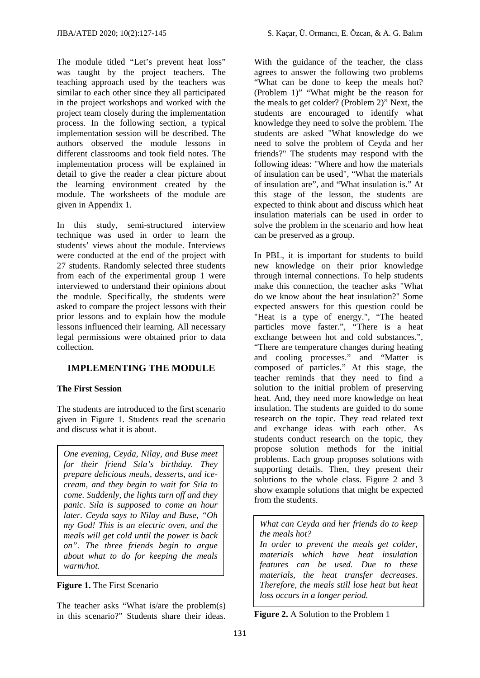The module titled "Let's prevent heat loss" was taught by the project teachers. The teaching approach used by the teachers was similar to each other since they all participated in the project workshops and worked with the project team closely during the implementation process. In the following section, a typical implementation session will be described. The authors observed the module lessons in different classrooms and took field notes. The implementation process will be explained in detail to give the reader a clear picture about the learning environment created by the module. The worksheets of the module are given in Appendix 1.

In this study, semi-structured interview technique was used in order to learn the students' views about the module. Interviews were conducted at the end of the project with 27 students. Randomly selected three students from each of the experimental group 1 were interviewed to understand their opinions about the module. Specifically, the students were asked to compare the project lessons with their prior lessons and to explain how the module lessons influenced their learning. All necessary legal permissions were obtained prior to data collection.

# **IMPLEMENTING THE MODULE**

# **The First Session**

The students are introduced to the first scenario given in Figure 1. Students read the scenario and discuss what it is about.

*One evening, Ceyda, Nilay, and Buse meet for their friend Sıla's birthday. They prepare delicious meals, desserts, and icecream, and they begin to wait for Sıla to come. Suddenly, the lights turn off and they panic. Sıla is supposed to come an hour later. Ceyda says to Nilay and Buse, "Oh my God! This is an electric oven, and the meals will get cold until the power is back on". The three friends begin to argue about what to do for keeping the meals warm/hot.* 

# **Figure 1.** The First Scenario

The teacher asks "What is/are the problem(s) in this scenario?" Students share their ideas.

With the guidance of the teacher, the class agrees to answer the following two problems "What can be done to keep the meals hot? (Problem 1)" "What might be the reason for the meals to get colder? (Problem 2)" Next, the students are encouraged to identify what knowledge they need to solve the problem. The students are asked "What knowledge do we need to solve the problem of Ceyda and her friends?" The students may respond with the following ideas: "Where and how the materials of insulation can be used", "What the materials of insulation are", and "What insulation is." At this stage of the lesson, the students are expected to think about and discuss which heat insulation materials can be used in order to solve the problem in the scenario and how heat can be preserved as a group.

In PBL, it is important for students to build new knowledge on their prior knowledge through internal connections. To help students make this connection, the teacher asks "What do we know about the heat insulation?" Some expected answers for this question could be "Heat is a type of energy.", "The heated particles move faster.", "There is a heat exchange between hot and cold substances.", "There are temperature changes during heating and cooling processes." and "Matter is composed of particles." At this stage, the teacher reminds that they need to find a solution to the initial problem of preserving heat. And, they need more knowledge on heat insulation. The students are guided to do some research on the topic. They read related text and exchange ideas with each other. As students conduct research on the topic, they propose solution methods for the initial problems. Each group proposes solutions with supporting details. Then, they present their solutions to the whole class. Figure 2 and 3 show example solutions that might be expected from the students.

*What can Ceyda and her friends do to keep the meals hot? In order to prevent the meals get colder, materials which have heat insulation features can be used. Due to these materials, the heat transfer decreases. Therefore, the meals still lose heat but heat loss occurs in a longer period.*

**Figure 2.** A Solution to the Problem 1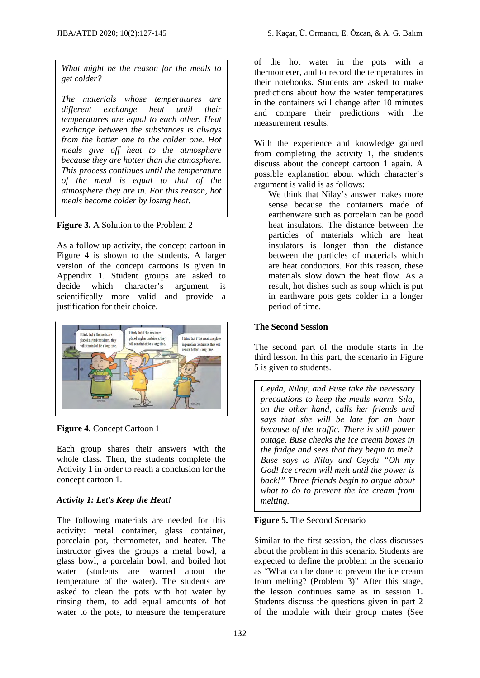*What might be the reason for the meals to get colder?* 

*The materials whose temperatures are different exchange heat until their temperatures are equal to each other. Heat exchange between the substances is always from the hotter one to the colder one. Hot meals give off heat to the atmosphere because they are hotter than the atmosphere. This process continues until the temperature of the meal is equal to that of the atmosphere they are in. For this reason, hot meals become colder by losing heat*.

**Figure 3.** A Solution to the Problem 2

As a follow up activity, the concept cartoon in Figure 4 is shown to the students. A larger version of the concept cartoons is given in Appendix 1. Student groups are asked to decide which character's argument is scientifically more valid and provide a justification for their choice.



**Figure 4.** Concept Cartoon 1

Each group shares their answers with the whole class. Then, the students complete the Activity 1 in order to reach a conclusion for the concept cartoon 1.

# *Activity 1: Let's Keep the Heat!*

The following materials are needed for this activity: metal container, glass container, porcelain pot, thermometer, and heater. The instructor gives the groups a metal bowl, a glass bowl, a porcelain bowl, and boiled hot water (students are warned about the temperature of the water). The students are asked to clean the pots with hot water by rinsing them, to add equal amounts of hot water to the pots, to measure the temperature

of the hot water in the pots with a thermometer, and to record the temperatures in their notebooks. Students are asked to make predictions about how the water temperatures in the containers will change after 10 minutes and compare their predictions with the measurement results.

With the experience and knowledge gained from completing the activity 1, the students discuss about the concept cartoon 1 again. A possible explanation about which character's argument is valid is as follows:

We think that Nilay's answer makes more sense because the containers made of earthenware such as porcelain can be good heat insulators. The distance between the particles of materials which are heat insulators is longer than the distance between the particles of materials which are heat conductors. For this reason, these materials slow down the heat flow. As a result, hot dishes such as soup which is put in earthware pots gets colder in a longer period of time.

# **The Second Session**

The second part of the module starts in the third lesson. In this part, the scenario in Figure 5 is given to students.

*Ceyda, Nilay, and Buse take the necessary precautions to keep the meals warm. Sıla, on the other hand, calls her friends and says that she will be late for an hour because of the traffic. There is still power outage. Buse checks the ice cream boxes in the fridge and sees that they begin to melt. Buse says to Nilay and Ceyda "Oh my God! Ice cream will melt until the power is back!" Three friends begin to argue about what to do to prevent the ice cream from melting.* 

# **Figure 5.** The Second Scenario

Similar to the first session, the class discusses about the problem in this scenario. Students are expected to define the problem in the scenario as "What can be done to prevent the ice cream from melting? (Problem 3)" After this stage, the lesson continues same as in session 1. Students discuss the questions given in part 2 of the module with their group mates (See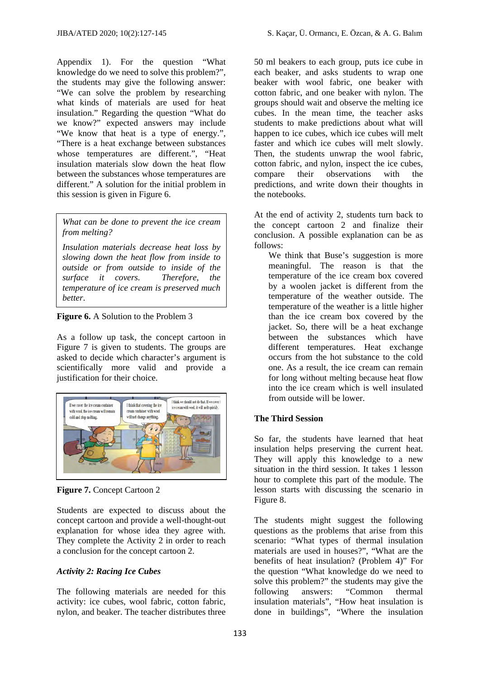Appendix 1). For the question "What knowledge do we need to solve this problem?", the students may give the following answer: "We can solve the problem by researching what kinds of materials are used for heat insulation." Regarding the question "What do we know?" expected answers may include "We know that heat is a type of energy.", "There is a heat exchange between substances whose temperatures are different.", "Heat insulation materials slow down the heat flow between the substances whose temperatures are different." A solution for the initial problem in this session is given in Figure 6.

*What can be done to prevent the ice cream from melting?* 

*Insulation materials decrease heat loss by slowing down the heat flow from inside to outside or from outside to inside of the surface it covers. Therefore, the temperature of ice cream is preserved much better*.

**Figure 6.** A Solution to the Problem 3

As a follow up task, the concept cartoon in Figure 7 is given to students. The groups are asked to decide which character's argument is scientifically more valid and provide a justification for their choice.



**Figure 7.** Concept Cartoon 2

Students are expected to discuss about the concept cartoon and provide a well-thought-out explanation for whose idea they agree with. They complete the Activity 2 in order to reach a conclusion for the concept cartoon 2.

# *Activity 2: Racing Ice Cubes*

The following materials are needed for this activity: ice cubes, wool fabric, cotton fabric, nylon, and beaker. The teacher distributes three 50 ml beakers to each group, puts ice cube in each beaker, and asks students to wrap one beaker with wool fabric, one beaker with cotton fabric, and one beaker with nylon. The groups should wait and observe the melting ice cubes. In the mean time, the teacher asks students to make predictions about what will happen to ice cubes, which ice cubes will melt faster and which ice cubes will melt slowly. Then, the students unwrap the wool fabric, cotton fabric, and nylon, inspect the ice cubes, compare their observations with the predictions, and write down their thoughts in the notebooks.

At the end of activity 2, students turn back to the concept cartoon 2 and finalize their conclusion. A possible explanation can be as follows:

We think that Buse's suggestion is more meaningful. The reason is that the temperature of the ice cream box covered by a woolen jacket is different from the temperature of the weather outside. The temperature of the weather is a little higher than the ice cream box covered by the jacket. So, there will be a heat exchange between the substances which have different temperatures. Heat exchange occurs from the hot substance to the cold one. As a result, the ice cream can remain for long without melting because heat flow into the ice cream which is well insulated from outside will be lower.

# **The Third Session**

So far, the students have learned that heat insulation helps preserving the current heat. They will apply this knowledge to a new situation in the third session. It takes 1 lesson hour to complete this part of the module. The lesson starts with discussing the scenario in Figure 8.

The students might suggest the following questions as the problems that arise from this scenario: "What types of thermal insulation materials are used in houses?", "What are the benefits of heat insulation? (Problem 4)" For the question "What knowledge do we need to solve this problem?" the students may give the following answers: "Common thermal insulation materials", "How heat insulation is done in buildings", "Where the insulation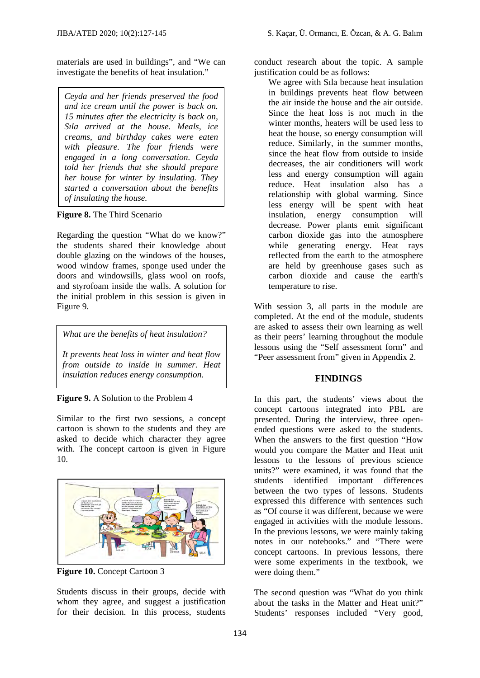materials are used in buildings", and "We can investigate the benefits of heat insulation."

*Ceyda and her friends preserved the food and ice cream until the power is back on. 15 minutes after the electricity is back on, Sıla arrived at the house. Meals, ice creams, and birthday cakes were eaten with pleasure. The four friends were engaged in a long conversation. Ceyda told her friends that she should prepare her house for winter by insulating. They started a conversation about the benefits of insulating the house.* 

#### **Figure 8.** The Third Scenario

Regarding the question "What do we know?" the students shared their knowledge about double glazing on the windows of the houses, wood window frames, sponge used under the doors and windowsills, glass wool on roofs, and styrofoam inside the walls. A solution for the initial problem in this session is given in Figure 9.

*What are the benefits of heat insulation?* 

*It prevents heat loss in winter and heat flow from outside to inside in summer. Heat insulation reduces energy consumption.* 



Similar to the first two sessions, a concept cartoon is shown to the students and they are asked to decide which character they agree with. The concept cartoon is given in Figure 10.



**Figure 10.** Concept Cartoon 3

Students discuss in their groups, decide with whom they agree, and suggest a justification for their decision. In this process, students

conduct research about the topic. A sample justification could be as follows:

We agree with Sıla because heat insulation in buildings prevents heat flow between the air inside the house and the air outside. Since the heat loss is not much in the winter months, heaters will be used less to heat the house, so energy consumption will reduce. Similarly, in the summer months, since the heat flow from outside to inside decreases, the air conditioners will work less and energy consumption will again reduce. Heat insulation also has a relationship with global warming. Since less energy will be spent with heat insulation, energy consumption will decrease. Power plants emit significant carbon dioxide gas into the atmosphere while generating energy. Heat rays reflected from the earth to the atmosphere are held by greenhouse gases such as carbon dioxide and cause the earth's temperature to rise.

With session 3, all parts in the module are completed. At the end of the module, students are asked to assess their own learning as well as their peers' learning throughout the module lessons using the "Self assessment form" and "Peer assessment from" given in Appendix 2.

# **FINDINGS**

In this part, the students' views about the concept cartoons integrated into PBL are presented. During the interview, three openended questions were asked to the students. When the answers to the first question "How would you compare the Matter and Heat unit lessons to the lessons of previous science units?" were examined, it was found that the students identified important differences between the two types of lessons. Students expressed this difference with sentences such as "Of course it was different, because we were engaged in activities with the module lessons. In the previous lessons, we were mainly taking notes in our notebooks." and "There were concept cartoons. In previous lessons, there were some experiments in the textbook, we were doing them."

The second question was "What do you think about the tasks in the Matter and Heat unit?" Students' responses included "Very good,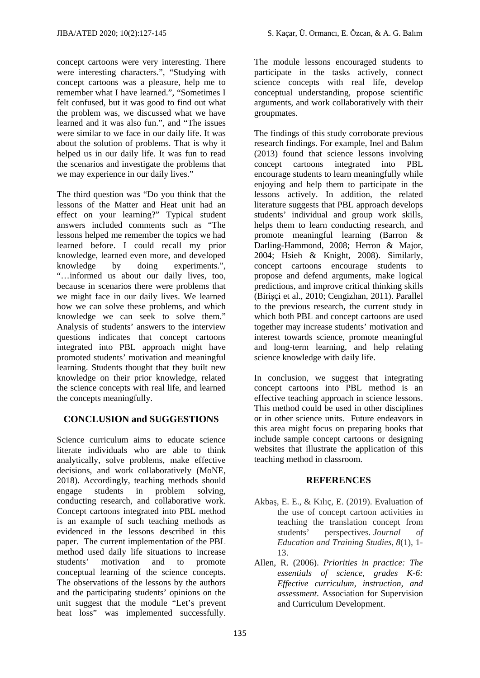JIBA/ATED 2020; 10(2):127-145 S. Kaçar, Ü. Ormancı, E. Özcan, & A. G. Balım

concept cartoons were very interesting. There were interesting characters.", "Studying with concept cartoons was a pleasure, help me to remember what I have learned.", "Sometimes I felt confused, but it was good to find out what the problem was, we discussed what we have learned and it was also fun.", and "The issues were similar to we face in our daily life. It was about the solution of problems. That is why it helped us in our daily life. It was fun to read the scenarios and investigate the problems that we may experience in our daily lives."

The third question was "Do you think that the lessons of the Matter and Heat unit had an effect on your learning?" Typical student answers included comments such as "The lessons helped me remember the topics we had learned before. I could recall my prior knowledge, learned even more, and developed knowledge by doing experiments.", "…informed us about our daily lives, too, because in scenarios there were problems that we might face in our daily lives. We learned how we can solve these problems, and which knowledge we can seek to solve them." Analysis of students' answers to the interview questions indicates that concept cartoons integrated into PBL approach might have promoted students' motivation and meaningful learning. Students thought that they built new knowledge on their prior knowledge, related the science concepts with real life, and learned the concepts meaningfully.

# **CONCLUSION and SUGGESTIONS**

Science curriculum aims to educate science literate individuals who are able to think analytically, solve problems, make effective decisions, and work collaboratively (MoNE, 2018). Accordingly, teaching methods should engage students in problem solving, conducting research, and collaborative work. Concept cartoons integrated into PBL method is an example of such teaching methods as evidenced in the lessons described in this paper. The current implementation of the PBL method used daily life situations to increase students' motivation and to promote conceptual learning of the science concepts. The observations of the lessons by the authors and the participating students' opinions on the unit suggest that the module "Let's prevent heat loss" was implemented successfully.

The module lessons encouraged students to participate in the tasks actively, connect science concepts with real life, develop conceptual understanding, propose scientific arguments, and work collaboratively with their groupmates.

The findings of this study corroborate previous research findings. For example, Inel and Balım (2013) found that science lessons involving concept cartoons integrated into PBL encourage students to learn meaningfully while enjoying and help them to participate in the lessons actively. In addition, the related literature suggests that PBL approach develops students' individual and group work skills, helps them to learn conducting research, and promote meaningful learning (Barron & Darling-Hammond, 2008; Herron & Major, 2004; Hsieh & Knight, 2008). Similarly, concept cartoons encourage students to propose and defend arguments, make logical predictions, and improve critical thinking skills (Birişçi et al., 2010; Cengizhan, 2011). Parallel to the previous research, the current study in which both PBL and concept cartoons are used together may increase students' motivation and interest towards science, promote meaningful and long-term learning, and help relating science knowledge with daily life.

In conclusion, we suggest that integrating concept cartoons into PBL method is an effective teaching approach in science lessons. This method could be used in other disciplines or in other science units. Future endeavors in this area might focus on preparing books that include sample concept cartoons or designing websites that illustrate the application of this teaching method in classroom.

# **REFERENCES**

- Akbaş, E. E., & Kılıç, E. (2019). Evaluation of the use of concept cartoon activities in teaching the translation concept from students' perspectives. *Journal of Education and Training Studies*, *8*(1), 1- 13.
- Allen, R. (2006). *Priorities in practice: The essentials of science, grades K-6: Effective curriculum, instruction, and assessment*. Association for Supervision and Curriculum Development.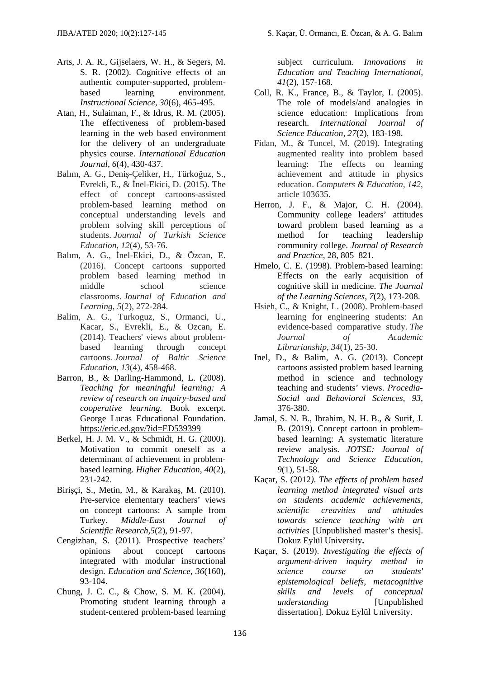- Arts, J. A. R., Gijselaers, W. H., & Segers, M. S. R. (2002). Cognitive effects of an authentic computer-supported, problembased learning environment. *Instructional Science, 30*(6), 465-495.
- Atan, H., Sulaiman, F., & Idrus, R. M. (2005). The effectiveness of problem-based learning in the web based environment for the delivery of an undergraduate physics course. *International Education Journal, 6*(4), 430-437.
- Balım, A. G., Deniş-Çeliker, H., Türkoğuz, S., Evrekli, E., & İnel-Ekici, D. (2015). The effect of concept cartoons-assisted problem-based learning method on conceptual understanding levels and problem solving skill perceptions of students. *Journal of Turkish Science Education*, *12*(4), 53-76.
- Balım, A. G., İnel-Ekici, D., & Özcan, E. (2016). Concept cartoons supported problem based learning method in middle school science classrooms. *Journal of Education and Learning*, *5*(2), 272-284.
- Balim, A. G., Turkoguz, S., Ormanci, U., Kacar, S., Evrekli, E., & Ozcan, E. (2014). Teachers' views about problembased learning through concept cartoons. *Journal of Baltic Science Education*, *13*(4), 458-468.
- Barron, B., & Darling-Hammond, L. (2008). *Teaching for meaningful learning: A review of research on inquiry-based and cooperative learning.* Book excerpt. George Lucas Educational Foundation. https://eric.ed.gov/?id=ED539399
- Berkel, H. J. M. V., & Schmidt, H. G. (2000). Motivation to commit oneself as a determinant of achievement in problembased learning. *Higher Education, 40*(2), 231-242.
- Birişçi, S., Metin, M., & Karakaş, M. (2010). Pre-service elementary teachers' views on concept cartoons: A sample from Turkey. *Middle-East Journal of Scientific Research,5*(2), 91-97.
- Cengizhan, S. (2011). Prospective teachers' opinions about concept cartoons integrated with modular instructional design. *Education and Science, 36*(160), 93-104.
- Chung, J. C. C., & Chow, S. M. K. (2004). Promoting student learning through a student-centered problem-based learning

subject curriculum. *Innovations in Education and Teaching International, 41*(2), 157-168.

- Coll, R. K., France, B., & Taylor, I. (2005). The role of models/and analogies in science education: Implications from research. *International Journal of Science Education, 27*(2), 183-198.
- Fidan, M., & Tuncel, M. (2019). Integrating augmented reality into problem based learning: The effects on learning achievement and attitude in physics education. *Computers & Education*, *142*, article 103635.
- Herron, J. F., & Major, C. H. (2004). Community college leaders' attitudes toward problem based learning as a method for teaching leadership community college. *Journal of Research and Practice,* 28, 805–821.
- Hmelo, C. E. (1998). Problem-based learning: Effects on the early acquisition of cognitive skill in medicine. *The Journal of the Learning Sciences*, *7*(2), 173-208.
- Hsieh, C., & Knight, L. (2008). Problem-based learning for engineering students: An evidence-based comparative study. *The Journal of Academic Librarianship*, *34*(1), 25-30.
- Inel, D., & Balim, A. G. (2013). Concept cartoons assisted problem based learning method in science and technology teaching and students' views. *Procedia-Social and Behavioral Sciences, 93*, 376-380.
- Jamal, S. N. B., Ibrahim, N. H. B., & Surif, J. B. (2019). Concept cartoon in problembased learning: A systematic literature review analysis. *JOTSE: Journal of Technology and Science Education, 9*(1), 51-58.
- Kaçar, S. (2012*). The effects of problem based learning method integrated visual arts on students academic achievements, scientific creavities and attitudes towards science teaching with art activities* [Unpublished master's thesis]. Dokuz Eylül University**.**
- Kaçar, S. (2019). *Investigating the effects of argument-driven inquiry method in science course on students' epistemological beliefs, metacognitive skills and levels of conceptual understanding* [Unpublished dissertation]. Dokuz Eylül University.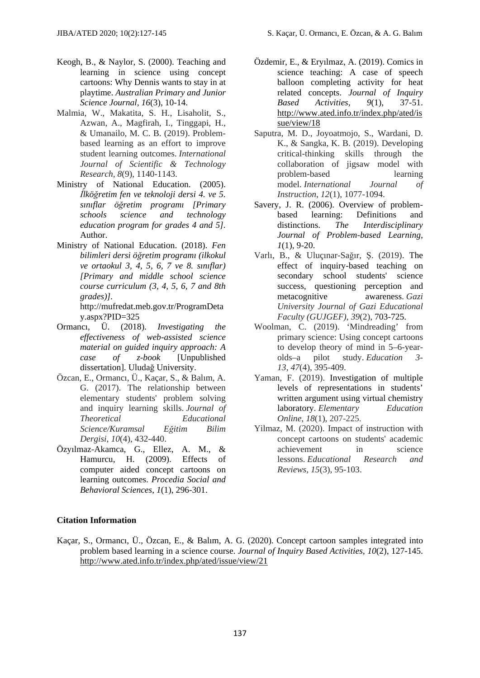- Keogh, B., & Naylor, S. (2000). Teaching and learning in science using concept cartoons: Why Dennis wants to stay in at playtime. *Australian Primary and Junior Science Journal, 16*(3), 10-14.
- Malmia, W., Makatita, S. H., Lisaholit, S., Azwan, A., Magfirah, I., Tinggapi, H., & Umanailo, M. C. B. (2019). Problembased learning as an effort to improve student learning outcomes. *International Journal of Scientific & Technology Research, 8*(9), 1140-1143.
- Ministry of National Education. (2005). *İlköğretim fen ve teknoloji dersi 4. ve 5. sınıflar öğretim programı [Primary schools science and technology education program for grades 4 and 5].* Author.
- Ministry of National Education. (2018). *Fen bilimleri dersi öğretim programı (ilkokul ve ortaokul 3, 4, 5, 6, 7 ve 8. sınıflar) [Primary and middle school science course curriculum (3, 4, 5, 6, 7 and 8th grades)].* http://mufredat.meb.gov.tr/ProgramDeta

y.aspx?PID=325

- Ormancı, Ü. (2018). *Investigating the effectiveness of web-assisted science material on guided inquiry approach: A case of z-book* [Unpublished dissertation]. Uludağ University.
- Özcan, E., Ormancı, Ü., Kaçar, S., & Balım, A. G. (2017). The relationship between elementary students' problem solving and inquiry learning skills. *Journal of Theoretical Educational Science/Kuramsal Eğitim Bilim Dergisi*, *10*(4), 432-440.
- Özyılmaz-Akamca, G., Ellez, A. M., & Hamurcu, H. (2009). Effects of computer aided concept cartoons on learning outcomes. *Procedia Social and Behavioral Sciences*, *1*(1), 296-301.
- Özdemir, E., & Eryılmaz, A. (2019). Comics in science teaching: A case of speech balloon completing activity for heat related concepts. *Journal of Inquiry Based Activities, 9*(1), 37-51. http://www.ated.info.tr/index.php/ated/is sue/view/18
- Saputra, M. D., Joyoatmojo, S., Wardani, D. K., & Sangka, K. B. (2019). Developing critical-thinking skills through the collaboration of jigsaw model with problem-based learning model. *International Journal of Instruction*, *12*(1), 1077-1094.
- Savery, J. R. (2006). Overview of problembased learning: Definitions and distinctions. *The Interdisciplinary Journal of Problem-based Learning, 1*(1), 9-20.
- Varlı, B., & Uluçınar-Sağır, Ş. (2019). The effect of inquiry-based teaching on secondary school students' science success, questioning perception and metacognitive awareness. *Gazi University Journal of Gazi Educational Faculty (GUJGEF)*, *39*(2), 703-725.
- Woolman, C. (2019). 'Mindreading' from primary science: Using concept cartoons to develop theory of mind in 5–6-yearolds–a pilot study. *Education 3- 13*, *47*(4), 395-409.
- Yaman, F. (2019). Investigation of multiple levels of representations in students' written argument using virtual chemistry laboratory. *Elementary Education Online*, *18*(1), 207-225.
- Yilmaz, M. (2020). Impact of instruction with concept cartoons on students' academic achievement in science lessons. *Educational Research and Reviews*, *15*(3), 95-103.

# **Citation Information**

Kaçar, S., Ormancı, Ü., Özcan, E., & Balım, A. G. (2020). Concept cartoon samples integrated into problem based learning in a science course. *Journal of Inquiry Based Activities, 10*(2), 127-145. http://www.ated.info.tr/index.php/ated/issue/view/21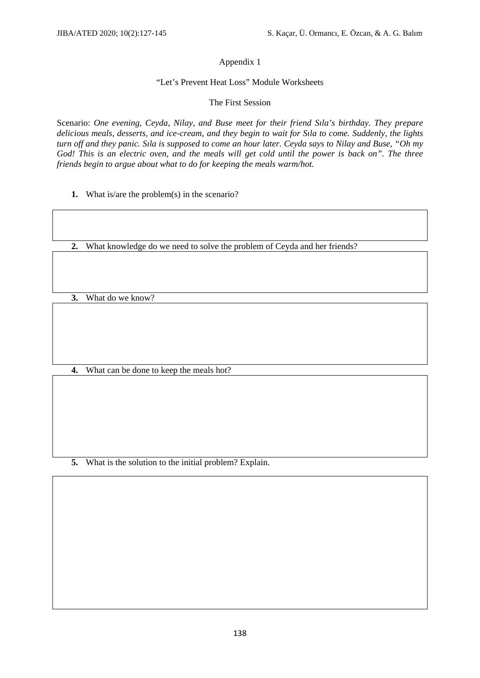### Appendix 1

#### "Let's Prevent Heat Loss" Module Worksheets

#### The First Session

Scenario: *One evening, Ceyda, Nilay, and Buse meet for their friend Sıla's birthday. They prepare delicious meals, desserts, and ice-cream, and they begin to wait for Sıla to come. Suddenly, the lights turn off and they panic. Sıla is supposed to come an hour later. Ceyda says to Nilay and Buse, "Oh my God! This is an electric oven, and the meals will get cold until the power is back on". The three friends begin to argue about what to do for keeping the meals warm/hot.* 

**1.** What is/are the problem(s) in the scenario?

**2.** What knowledge do we need to solve the problem of Ceyda and her friends?

**3.** What do we know?

**4.** What can be done to keep the meals hot?

**5.** What is the solution to the initial problem? Explain.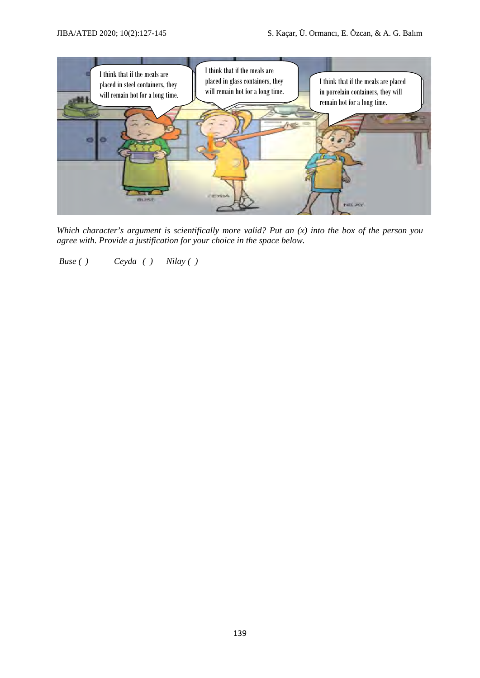

*Which character's argument is scientifically more valid? Put an (x) into the box of the person you agree with. Provide a justification for your choice in the space below.* 

 *Buse ( ) Ceyda ( ) Nilay ( )*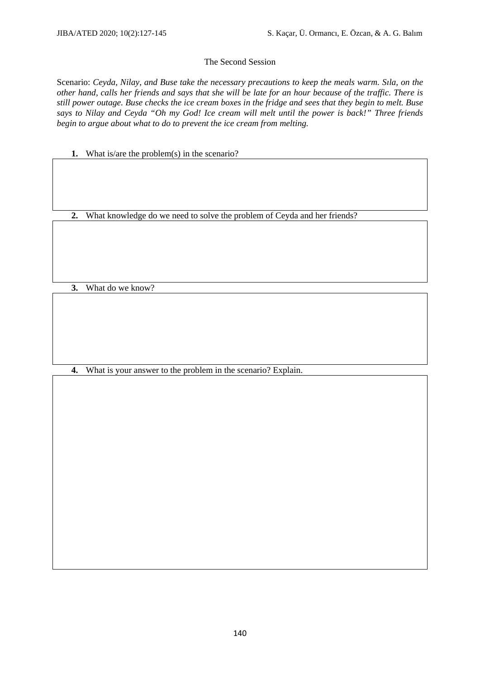#### The Second Session

Scenario: *Ceyda, Nilay, and Buse take the necessary precautions to keep the meals warm. Sıla, on the other hand, calls her friends and says that she will be late for an hour because of the traffic. There is still power outage. Buse checks the ice cream boxes in the fridge and sees that they begin to melt. Buse says to Nilay and Ceyda "Oh my God! Ice cream will melt until the power is back!" Three friends begin to argue about what to do to prevent the ice cream from melting.* 

**1.** What is/are the problem(s) in the scenario?

**2.** What knowledge do we need to solve the problem of Ceyda and her friends?

**3.** What do we know?

**4.** What is your answer to the problem in the scenario? Explain.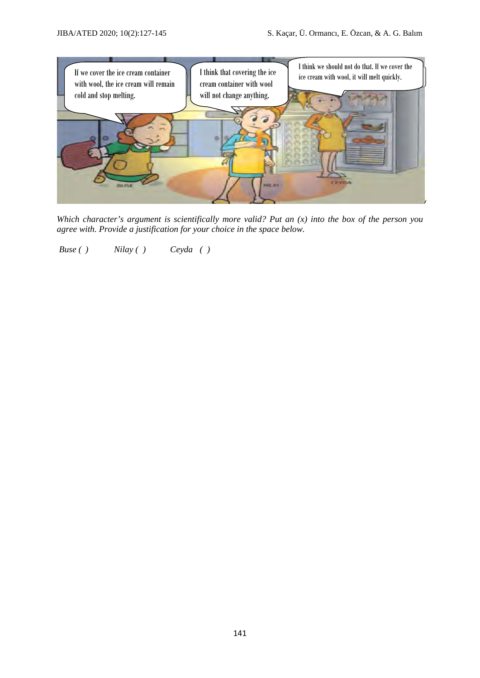

*Which character's argument is scientifically more valid? Put an (x) into the box of the person you agree with. Provide a justification for your choice in the space below.* 

 *Buse ( ) Nilay ( ) Ceyda ( )*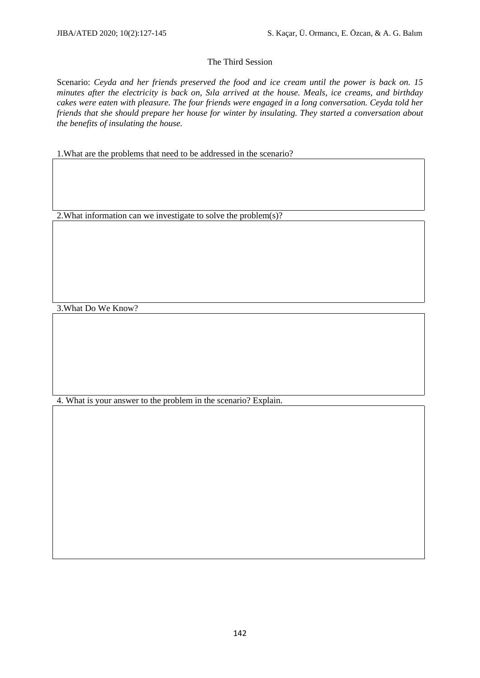#### The Third Session

Scenario: *Ceyda and her friends preserved the food and ice cream until the power is back on. 15 minutes after the electricity is back on, Sıla arrived at the house. Meals, ice creams, and birthday cakes were eaten with pleasure. The four friends were engaged in a long conversation. Ceyda told her friends that she should prepare her house for winter by insulating. They started a conversation about the benefits of insulating the house.* 

1.What are the problems that need to be addressed in the scenario?

2.What information can we investigate to solve the problem(s)?

3.What Do We Know?

4. What is your answer to the problem in the scenario? Explain.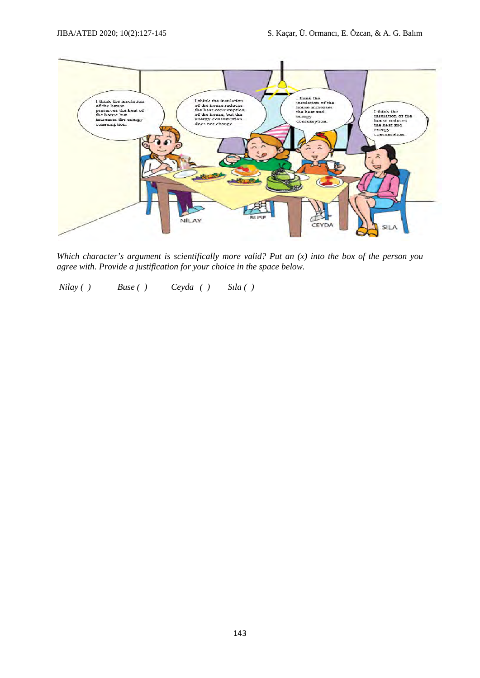

*Which character's argument is scientifically more valid? Put an (x) into the box of the person you agree with. Provide a justification for your choice in the space below.* 

 *Nilay ( ) Buse ( ) Ceyda ( ) Sıla ( )*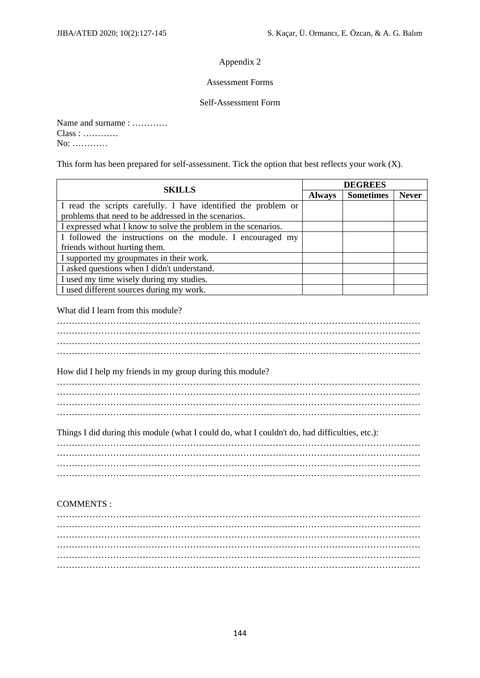#### Appendix 2

#### Assessment Forms

#### Self-Assessment Form

Name and surname : ………… Class : ………… No: …………

This form has been prepared for self-assessment. Tick the option that best reflects your work (X).

| <b>SKILLS</b>                                                  | <b>DEGREES</b> |                  |              |  |  |  |  |  |  |
|----------------------------------------------------------------|----------------|------------------|--------------|--|--|--|--|--|--|
|                                                                | <b>Always</b>  | <b>Sometimes</b> | <b>Never</b> |  |  |  |  |  |  |
| I read the scripts carefully. I have identified the problem or |                |                  |              |  |  |  |  |  |  |
| problems that need to be addressed in the scenarios.           |                |                  |              |  |  |  |  |  |  |
| I expressed what I know to solve the problem in the scenarios. |                |                  |              |  |  |  |  |  |  |
| I followed the instructions on the module. I encouraged my     |                |                  |              |  |  |  |  |  |  |
| friends without hurting them.                                  |                |                  |              |  |  |  |  |  |  |
| I supported my groupmates in their work.                       |                |                  |              |  |  |  |  |  |  |
| I asked questions when I didn't understand.                    |                |                  |              |  |  |  |  |  |  |
| I used my time wisely during my studies.                       |                |                  |              |  |  |  |  |  |  |
| I used different sources during my work.                       |                |                  |              |  |  |  |  |  |  |

#### What did I learn from this module?

…………………………………………………………………………………………………………… …………………………………………………………………………………………………………… …………………………………………………………………………………………………………… ……………………………………………………………………………………………………………

How did I help my friends in my group during this module?

Things I did during this module (what I could do, what I couldn't do, had difficulties, etc.):

# COMMENTS :